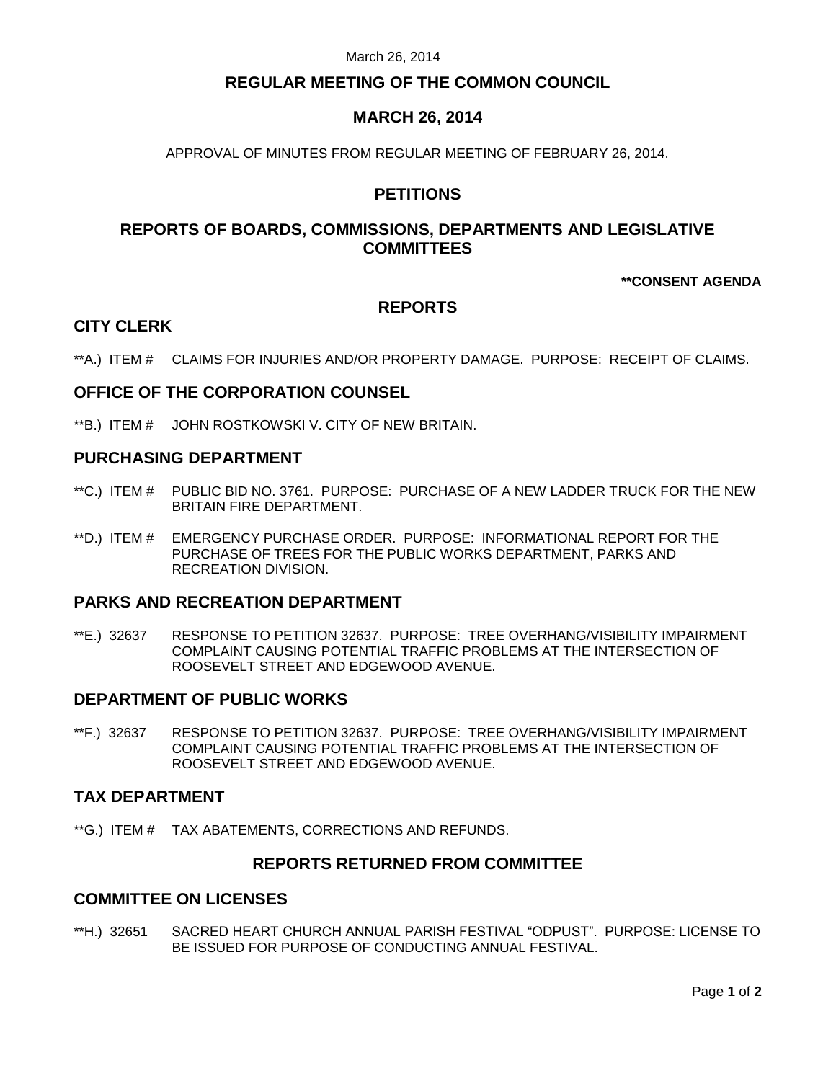# **REGULAR MEETING OF THE COMMON COUNCIL**

# **MARCH 26, 2014**

APPROVAL OF MINUTES FROM REGULAR MEETING OF FEBRUARY 26, 2014.

# **PETITIONS**

# **REPORTS OF BOARDS, COMMISSIONS, DEPARTMENTS AND LEGISLATIVE COMMITTEES**

## **\*\*CONSENT AGENDA**

## **REPORTS**

## **CITY CLERK**

\*\*A.) ITEM # CLAIMS FOR INJURIES AND/OR PROPERTY DAMAGE. PURPOSE: RECEIPT OF CLAIMS.

## **OFFICE OF THE CORPORATION COUNSEL**

\*\*B.) ITEM # JOHN ROSTKOWSKI V. CITY OF NEW BRITAIN.

## **PURCHASING DEPARTMENT**

- \*\*C.) ITEM # PUBLIC BID NO. 3761. PURPOSE: PURCHASE OF A NEW LADDER TRUCK FOR THE NEW BRITAIN FIRE DEPARTMENT.
- \*\*D.) ITEM # EMERGENCY PURCHASE ORDER. PURPOSE: INFORMATIONAL REPORT FOR THE PURCHASE OF TREES FOR THE PUBLIC WORKS DEPARTMENT, PARKS AND RECREATION DIVISION.

## **PARKS AND RECREATION DEPARTMENT**

\*\*E.) 32637 RESPONSE TO PETITION 32637. PURPOSE: TREE OVERHANG/VISIBILITY IMPAIRMENT COMPLAINT CAUSING POTENTIAL TRAFFIC PROBLEMS AT THE INTERSECTION OF ROOSEVELT STREET AND EDGEWOOD AVENUE.

## **DEPARTMENT OF PUBLIC WORKS**

\*\*F.) 32637 RESPONSE TO PETITION 32637. PURPOSE: TREE OVERHANG/VISIBILITY IMPAIRMENT COMPLAINT CAUSING POTENTIAL TRAFFIC PROBLEMS AT THE INTERSECTION OF ROOSEVELT STREET AND EDGEWOOD AVENUE.

### **TAX DEPARTMENT**

\*\*G.) ITEM # TAX ABATEMENTS, CORRECTIONS AND REFUNDS.

## **REPORTS RETURNED FROM COMMITTEE**

## **COMMITTEE ON LICENSES**

\*\*H.) 32651 SACRED HEART CHURCH ANNUAL PARISH FESTIVAL "ODPUST". PURPOSE: LICENSE TO BE ISSUED FOR PURPOSE OF CONDUCTING ANNUAL FESTIVAL.